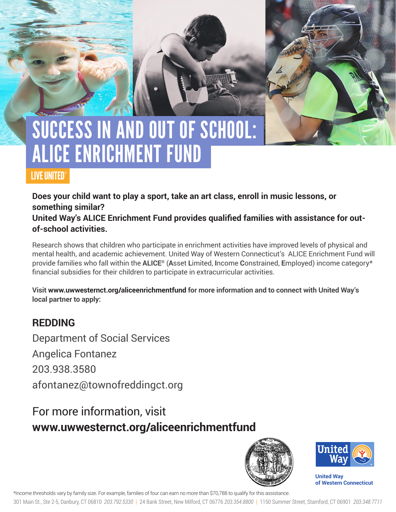# SUCCESS IN AND OUT OF SCHOOL: ALICE ENRICHMENT FUND

### LIVE UNITED®

**Does your child want to play a sport, take an art class, enroll in music lessons, or something similar?** 

**United Way's ALICE Enrichment Fund provides qualified families with assistance for outof-school activities.** 

Research shows that children who participate in enrichment activities have improved levels of physical and mental health, and academic achievement. United Way of Western Connecticut's ALICE Enrichment Fund will provide families who fall within the **ALICE®** (**A**sset **L**imited, **I**ncome **C**onstrained, **E**mployed) income category\* financial subsidies for their children to participate in extracurricular activities.

**Visit www.uwwesternct.org/aliceenrichmentfund for more information and to connect with United Way's local partner to apply:**

### **REDDING**

Department of Social Services Angelica Fontanez 203.938.3580 afontanez@townofreddingct.org

## For more information, visit **www.uwwesternct.org/aliceenrichmentfund**





**United Way of Western Connecticut** 

\*Income thresholds vary by family size. For example, families of four can earn no more than \$70,788 to qualify for this assistance.

301 Main St., Ste 2-5, Danbury, CT 06810 *203.792.5330* | 24 Bank Street, New Milford, CT 06776 *203.354.8800* | 1150 Summer Street, Stamford, CT 06901 *203.348.7711*